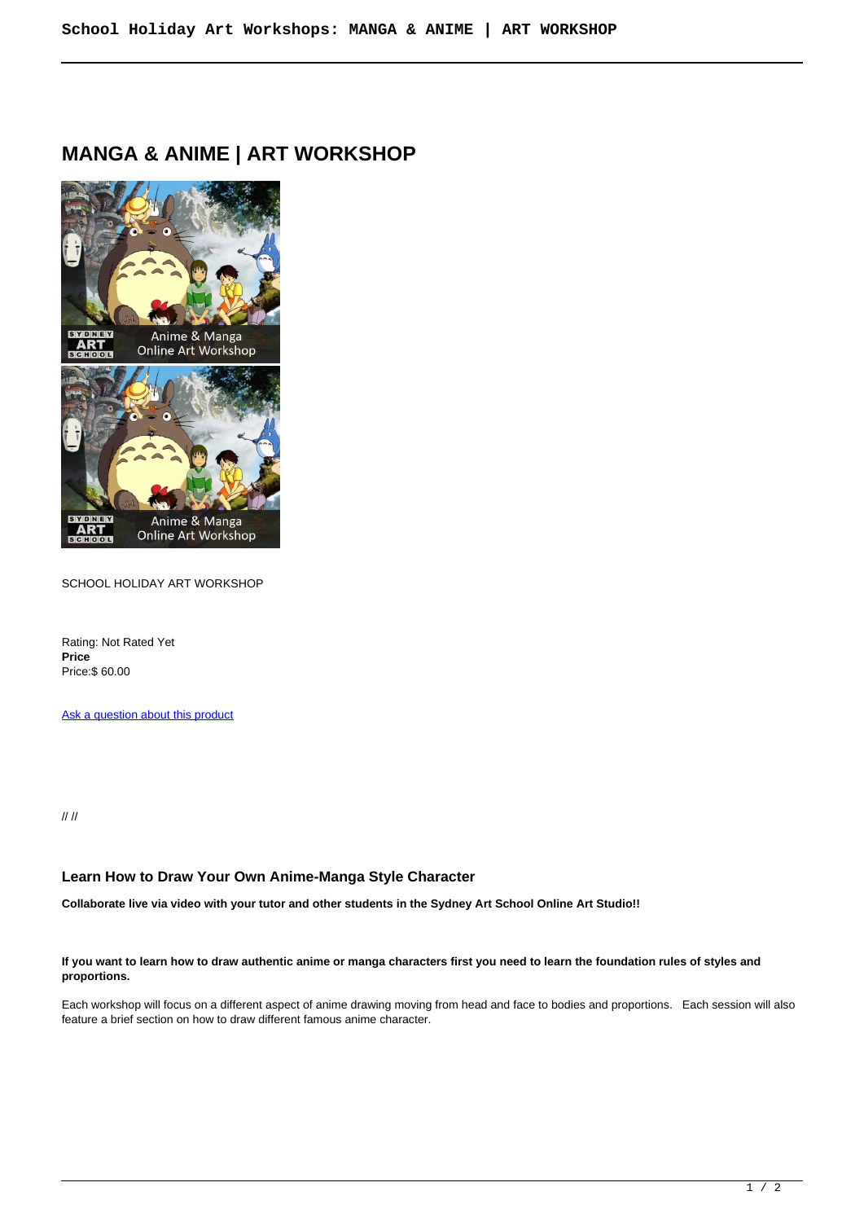# **MANGA & ANIME | ART WORKSHOP**



SCHOOL HOLIDAY ART WORKSHOP

Rating: Not Rated Yet **Price**  Price:\$ 60.00

[Ask a question about this product](https://sydneyartschool.com.au/index.php?option=com_virtuemart&view=productdetails&task=askquestion&virtuemart_product_id=354&virtuemart_category_id=24&tmpl=component)

// //

## **Learn How to Draw Your Own Anime-Manga Style Character**

**Collaborate live via video with your tutor and other students in the Sydney Art School Online Art Studio!!**

#### **If you want to learn how to draw authentic anime or manga characters first you need to learn the foundation rules of styles and proportions.**

Each workshop will focus on a different aspect of anime drawing moving from head and face to bodies and proportions. Each session will also feature a brief section on how to draw different famous anime character.